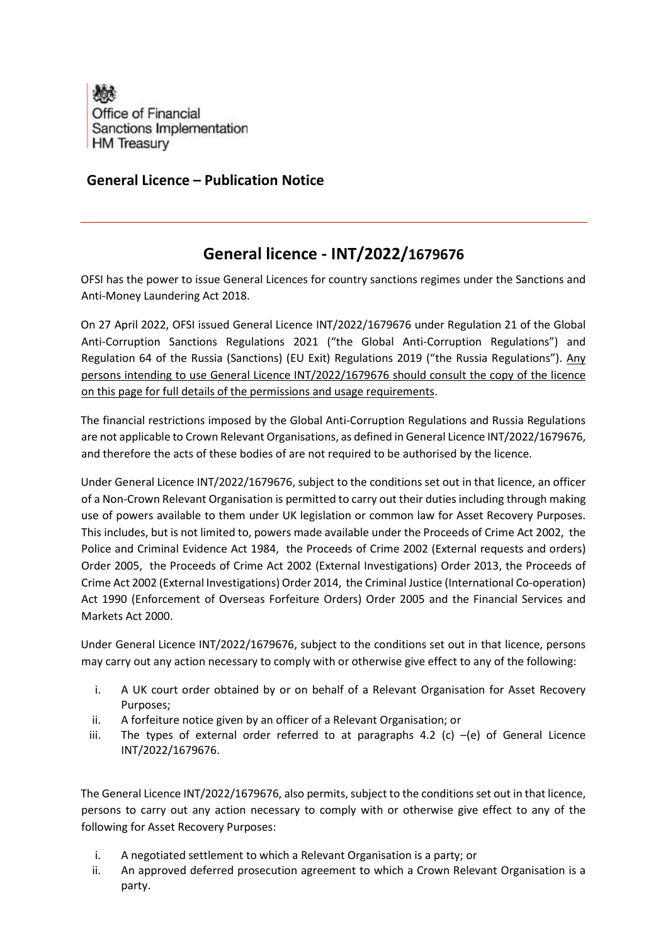

# General Licence – Publication Notice

# General licence - INT/2022/1679676

OFSI has the power to issue General Licences for country sanctions regimes under the Sanctions and Anti-Money Laundering Act 2018.

On 27 April 2022, OFSI issued General Licence INT/2022/1679676 under Regulation 21 of the Global Anti-Corruption Sanctions Regulations 2021 ("the Global Anti-Corruption Regulations") and Regulation 64 of the Russia (Sanctions) (EU Exit) Regulations 2019 ("the Russia Regulations"). Any persons intending to use General Licence INT/2022/1679676 should consult the copy of the licence on this page for full details of the permissions and usage requirements.

The financial restrictions imposed by the Global Anti-Corruption Regulations and Russia Regulations are not applicable to Crown Relevant Organisations, as defined in General Licence INT/2022/1679676, and therefore the acts of these bodies of are not required to be authorised by the licence.

Under General Licence INT/2022/1679676, subject to the conditions set out in that licence, an officer of a Non-Crown Relevant Organisation is permitted to carry out their duties including through making use of powers available to them under UK legislation or common law for Asset Recovery Purposes. This includes, but is not limited to, powers made available under the Proceeds of Crime Act 2002, the Police and Criminal Evidence Act 1984, the Proceeds of Crime 2002 (External requests and orders) Order 2005, the Proceeds of Crime Act 2002 (External Investigations) Order 2013, the Proceeds of Crime Act 2002 (External Investigations) Order 2014, the Criminal Justice (International Co-operation) Act 1990 (Enforcement of Overseas Forfeiture Orders) Order 2005 and the Financial Services and Markets Act 2000.

Under General Licence INT/2022/1679676, subject to the conditions set out in that licence, persons may carry out any action necessary to comply with or otherwise give effect to any of the following:

- i. A UK court order obtained by or on behalf of a Relevant Organisation for Asset Recovery Purposes;
- ii. A forfeiture notice given by an officer of a Relevant Organisation; or
- iii. The types of external order referred to at paragraphs 4.2 (c)  $-(e)$  of General Licence INT/2022/1679676.

The General Licence INT/2022/1679676, also permits, subject to the conditions set out in that licence, persons to carry out any action necessary to comply with or otherwise give effect to any of the following for Asset Recovery Purposes:

- i. A negotiated settlement to which a Relevant Organisation is a party; or
- ii. An approved deferred prosecution agreement to which a Crown Relevant Organisation is a party.